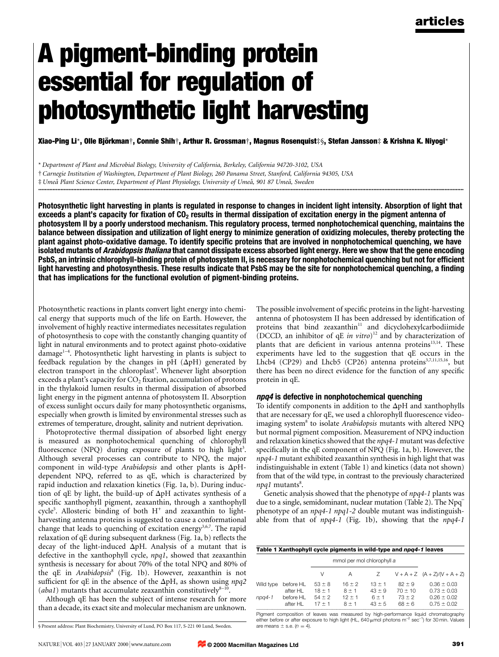# A pigment-binding protein essential for regulation of photosynthetic light harvesting

Xiao-Ping Li\*, Olle Björkman†, Connie Shih†, Arthur R. Grossman†, Magnus Rosenquist‡§, Stefan Jansson‡ & Krishna K. Niyogi\*

\* Department of Plant and Microbial Biology, University of California, Berkeley, California 94720-3102, USA

² Carnegie Institution of Washington, Department of Plant Biology, 260 Panama Street, Stanford, California 94305, USA

# Umeå Plant Science Center, Department of Plant Physiology, University of Umeå, 901 87 Umeå, Sweden

Photosynthetic light harvesting in plants is regulated in response to changes in incident light intensity. Absorption of light that exceeds a plant's capacity for fixation of  $CO<sub>2</sub>$  results in thermal dissipation of excitation energy in the pigment antenna of photosystem II by a poorly understood mechanism. This regulatory process, termed nonphotochemical quenching, maintains the balance between dissipation and utilization of light energy to minimize generation of oxidizing molecules, thereby protecting the plant against photo-oxidative damage. To identify specific proteins that are involved in nonphotochemical quenching, we have isolated mutants of *Arabidopsis thaliana* that cannot dissipate excess absorbed light energy. Here we show that the gene encoding PsbS, an intrinsic chlorophyll-binding protein of photosystem II, is necessary for nonphotochemical quenching but not for efficient light harvesting and photosynthesis. These results indicate that PsbS may be the site for nonphotochemical quenching, a finding that has implications for the functional evolution of pigment-binding proteins.

Photosynthetic reactions in plants convert light energy into chemical energy that supports much of the life on Earth. However, the involvement of highly reactive intermediates necessitates regulation of photosynthesis to cope with the constantly changing quantity of light in natural environments and to protect against photo-oxidative damage<sup>1-4</sup>. Photosynthetic light harvesting in plants is subject to feedback regulation by the changes in pH  $(\Delta$ pH) generated by electron transport in the chloroplast<sup>3</sup>. Whenever light absorption exceeds a plant's capacity for  $CO<sub>2</sub>$  fixation, accumulation of protons in the thylakoid lumen results in thermal dissipation of absorbed light energy in the pigment antenna of photosystem II. Absorption of excess sunlight occurs daily for many photosynthetic organisms, especially when growth is limited by environmental stresses such as extremes of temperature, drought, salinity and nutrient deprivation.

Photoprotective thermal dissipation of absorbed light energy is measured as nonphotochemical quenching of chlorophyll fluorescence (NPQ) during exposure of plants to high light<sup>3</sup>. Although several processes can contribute to NPQ, the major component in wild-type Arabidopsis and other plants is  $\Delta pH$ dependent NPQ, referred to as qE, which is characterized by rapid induction and relaxation kinetics (Fig. 1a, b). During induction of qE by light, the build-up of  $\Delta pH$  activates synthesis of a specific xanthophyll pigment, zeaxanthin, through a xanthophyll cycle<sup>5</sup>. Allosteric binding of both  $H^+$  and zeaxanthin to lightharvesting antenna proteins is suggested to cause a conformational change that leads to quenching of excitation energy<sup>3,6,7</sup>. The rapid relaxation of qE during subsequent darkness (Fig. 1a, b) reflects the decay of the light-induced  $\Delta pH$ . Analysis of a mutant that is defective in the xanthophyll cycle, npq1, showed that zeaxanthin synthesis is necessary for about 70% of the total NPQ and 80% of the qE in Arabidopsis<sup>8</sup> (Fig. 1b). However, zeaxanthin is not sufficient for qE in the absence of the  $\Delta$ pH, as shown using npq2 (aba1) mutants that accumulate zeaxanthin constitutively $8-10$ 

Although qE has been the subject of intense research for more than a decade, its exact site and molecular mechanism are unknown.

§ Present address: Plant Biochemistry, University of Lund, PO Box 117, S-221 00 Lund, Sweden. are means  $\pm$  s.e. ( $n = 4$ ).

The possible involvement of specific proteins in the light-harvesting antenna of photosystem II has been addressed by identification of proteins that bind zeaxanthin $11$  and dicyclohexylcarbodiimide (DCCD, an inhibitor of qE in vitro)<sup>12</sup> and by characterization of plants that are deficient in various antenna proteins<sup>13,14</sup>. These experiments have led to the suggestion that qE occurs in the Lhcb4 (CP29) and Lhcb5 (CP26) antenna proteins<sup>3,7,11,15,16</sup>, but there has been no direct evidence for the function of any specific protein in qE.

#### npq4 is defective in nonphotochemical quenching

To identify components in addition to the  $\Delta pH$  and xanthophylls that are necessary for qE, we used a chlorophyll fluorescence videoimaging system<sup>8</sup> to isolate *Arabidopsis* mutants with altered NPQ but normal pigment composition. Measurement of NPQ induction and relaxation kinetics showed that the npq4-1 mutant was defective specifically in the qE component of NPQ (Fig. 1a, b). However, the npq4-1 mutant exhibited zeaxanthin synthesis in high light that was indistinguishable in extent (Table 1) and kinetics (data not shown) from that of the wild type, in contrast to the previously characterized  $npq1$  mutants<sup>8</sup>.

Genetic analysis showed that the phenotype of npq4-1 plants was due to a single, semidominant, nuclear mutation (Table 2). The Npqphenotype of an npq4-1 npq1-2 double mutant was indistinguishable from that of npq4-1 (Fig. 1b), showing that the npq4-1

|           |           | mmol per mol chlorophyll a |          |          |           |                                   |
|-----------|-----------|----------------------------|----------|----------|-----------|-----------------------------------|
|           |           | V                          | Α        | Ζ        |           | $V + A + Z$ $(A + Z)/(V + A + Z)$ |
| Wild type | before HL | $53 \pm 8$                 | $16 + 2$ | $13 + 1$ | $82 + 9$  | $0.36 \pm 0.03$                   |
|           | after HI  | $18 + 1$                   | $8 + 1$  | $43 + 9$ | $70 + 10$ | $0.73 \pm 0.03$                   |
| npa4-1    | before HI | $54 + 2$                   | $12 + 1$ | $6 + 1$  | $73 + 2$  | $0.26 + 0.02$                     |
|           | after HI  | $17 + 1$                   | $8 + 1$  | $43 + 5$ | $68 + 6$  | $0.75 + 0.02$                     |

Pigment composition of leaves was measured by high-performance liquid chromatography either before or after exposure to high light (HL, 640  $\mu$ mol photons m<sup>-2</sup> sec<sup>-1</sup>) for 30 min. Values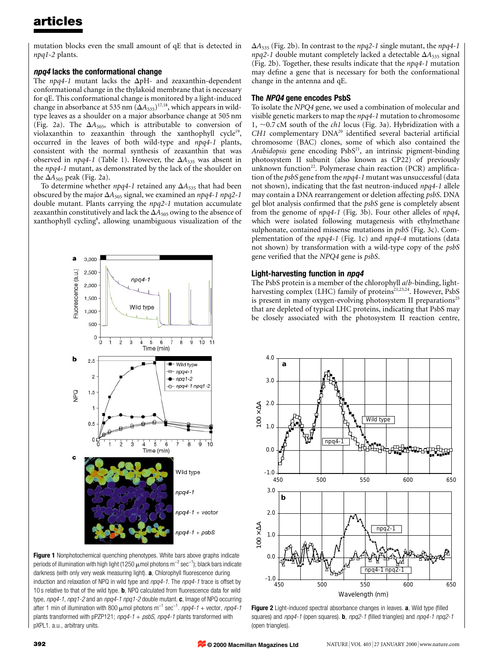mutation blocks even the small amount of qE that is detected in npq1-2 plants.

## npq4 lacks the conformational change

The  $npq4-1$  mutant lacks the  $\Delta pH-$  and zeaxanthin-dependent conformational change in the thylakoid membrane that is necessary for qE. This conformational change is monitored by a light-induced change in absorbance at 535 nm  $(\Delta A_{535})^{17,18}$ , which appears in wildtype leaves as a shoulder on a major absorbance change at 505 nm (Fig. 2a). The  $\Delta A_{505}$ , which is attributable to conversion of violaxanthin to zeaxanthin through the xanthophyll cycle<sup>19</sup>, occurred in the leaves of both wild-type and npq4-1 plants, consistent with the normal synthesis of zeaxanthin that was observed in *npq4-1* (Table 1). However, the  $\Delta A_{535}$  was absent in the npq4-1 mutant, as demonstrated by the lack of the shoulder on the  $\Delta A_{505}$  peak (Fig. 2a).

To determine whether  $npq4-1$  retained any  $\Delta A_{535}$  that had been obscured by the major  $\Delta A_{505}$  signal, we examined an *npq4-1 npq2-1* double mutant. Plants carrying the npq2-1 mutation accumulate zeaxanthin constitutively and lack the  $\Delta A_{505}$  owing to the absence of xanthophyll cycling<sup>8</sup>, allowing unambiguous visualization of the



Figure 1 Nonphotochemical quenching phenotypes. White bars above graphs indicate periods of illumination with high light (1250  $\mu$ mol photons m $^{-2}$  sec $^{-1}$ ); black bars indicate darkness (with only very weak measuring light). a, Chlorophyll fluorescence during induction and relaxation of NPQ in wild type and  $npq4-1$ . The  $npq4-1$  trace is offset by 10 s relative to that of the wild type. **, NPQ calculated from fluorescence data for wild** type,  $npq4-1$ ,  $npq1-2$  and an  $npq4-1$   $npq1-2$  double mutant. c, Image of NPQ occurring after 1 min of illumination with 800  $\mu$ mol photons m<sup>-1</sup> sec<sup>-1</sup>. npq4-1 + vector, npq4-1 plants transformed with pPZP121;  $npq4-1 + psbS$ ,  $npq4-1$  plants transformed with pXPL1. a.u., arbitrary units.

 $\Delta A_{535}$  (Fig. 2b). In contrast to the *npq2-1* single mutant, the *npq4-1*  $npq2-1$  double mutant completely lacked a detectable  $\Delta A_{535}$  signal (Fig. 2b). Together, these results indicate that the npq4-1 mutation may define a gene that is necessary for both the conformational change in the antenna and qE.

## The NPQ4 gene encodes PsbS

To isolate the NPQ4 gene, we used a combination of molecular and visible genetic markers to map the npq4-1 mutation to chromosome 1,  $\sim$ 0.7 cM south of the *ch1* locus (Fig. 3a). Hybridization with a  $CH1$  complementary  $DNA^{20}$  identified several bacterial artificial chromosome (BAC) clones, some of which also contained the Arabidopsis gene encoding  $PsbS<sup>21</sup>$ , an intrinsic pigment-binding photosystem II subunit (also known as CP22) of previously unknown function<sup>22</sup>. Polymerase chain reaction (PCR) amplification of the *psbS* gene from the *npq4-1* mutant was unsuccessful (data not shown), indicating that the fast neutron-induced npq4-1 allele may contain a DNA rearrangement or deletion affecting psbS. DNA gel blot analysis confirmed that the *psbS* gene is completely absent from the genome of npq4-1 (Fig. 3b). Four other alleles of npq4, which were isolated following mutagenesis with ethylmethane sulphonate, contained missense mutations in psbS (Fig. 3c). Complementation of the npq4-1 (Fig. 1c) and npq4-4 mutations (data not shown) by transformation with a wild-type copy of the psbS gene verified that the NPQ4 gene is psbS.

## Light-harvesting function in npq4

The PsbS protein is a member of the chlorophyll a/b-binding, lightharvesting complex (LHC) family of proteins $2^{1,23,24}$ . However, PsbS is present in many oxygen-evolving photosystem II preparations $2<sup>5</sup>$ that are depleted of typical LHC proteins, indicating that PsbS may be closely associated with the photosystem II reaction centre,



Figure 2 Light-induced spectral absorbance changes in leaves. a, Wild type (filled squares) and  $npq4-1$  (open squares). **b**,  $npq2-1$  (filled triangles) and  $npq4-1$  npq2-1 (open triangles).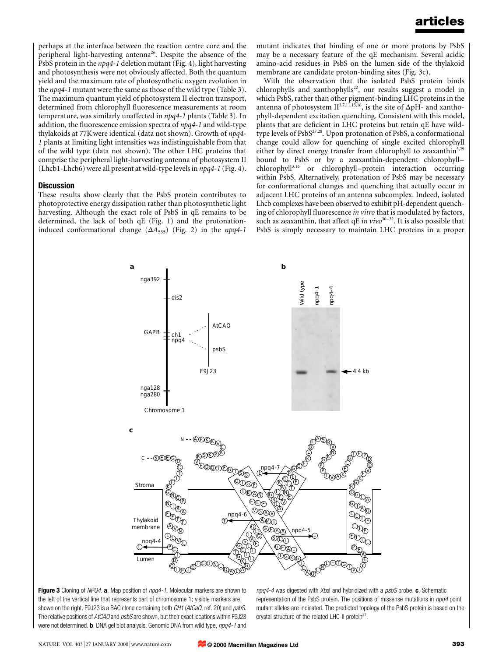perhaps at the interface between the reaction centre core and the peripheral light-harvesting antenna<sup>26</sup>. Despite the absence of the PsbS protein in the npq4-1 deletion mutant (Fig. 4), light harvesting and photosynthesis were not obviously affected. Both the quantum yield and the maximum rate of photosynthetic oxygen evolution in the npq4-1 mutant were the same as those of the wild type (Table 3). The maximum quantum yield of photosystem II electron transport, determined from chlorophyll fluorescence measurements at room temperature, was similarly unaffected in npq4-1 plants (Table 3). In addition, the fluorescence emission spectra of  $npq4-1$  and wild-type thylakoids at 77Kwere identical (data not shown). Growth of npq4- 1 plants at limiting light intensities was indistinguishable from that of the wild type (data not shown). The other LHC proteins that comprise the peripheral light-harvesting antenna of photosystem II (Lhcb1-Lhcb6) were all present at wild-type levels in npq4-1 (Fig. 4).

### **Discussion**

These results show clearly that the PsbS protein contributes to photoprotective energy dissipation rather than photosynthetic light harvesting. Although the exact role of PsbS in qE remains to be determined, the lack of both qE (Fig. 1) and the protonationinduced conformational change  $(\Delta A_{535})$  (Fig. 2) in the npq4-1

mutant indicates that binding of one or more protons by PsbS may be a necessary feature of the qE mechanism. Several acidic amino-acid residues in PsbS on the lumen side of the thylakoid membrane are candidate proton-binding sites (Fig. 3c).

With the observation that the isolated PsbS protein binds chlorophylls and xanthophylls<sup>22</sup>, our results suggest a model in which PsbS, rather than other pigment-binding LHC proteins in the antenna of photosystem  $II^{3,7,11,15,16}$ , is the site of  $\Delta pH$ - and xanthophyll-dependent excitation quenching. Consistent with this model, plants that are deficient in LHC proteins but retain qE have wildtype levels of  $PsbS^{27,28}$ . Upon protonation of PsbS, a conformational change could allow for quenching of single excited chlorophyll either by direct energy transfer from chlorophyll to zeaxanthin<sup>5,29</sup> bound to PsbS or by a zeaxanthin-dependent chlorophyllchlorophyll<sup>3,16</sup> or chlorophyll-protein interaction occurring within PsbS. Alternatively, protonation of PsbS may be necessary for conformational changes and quenching that actually occur in adjacent LHC proteins of an antenna subcomplex. Indeed, isolated Lhcb complexes have been observed to exhibit pH-dependent quenching of chlorophyll fluorescence in vitro that is modulated by factors, such as zeaxanthin, that affect  $qE \text{ } in \text{ } vivo^{30-32}$ . It is also possible that PsbS is simply necessary to maintain LHC proteins in a proper





 $npq4-4$  was digested with Xbal and hybridized with a  $psbS$  probe. c, Schematic representation of the PsbS protein. The positions of missense mutations in npq4 point mutant alleles are indicated. The predicted topology of the PsbS protein is based on the crystal structure of the related LHC-II protein<sup>47</sup>.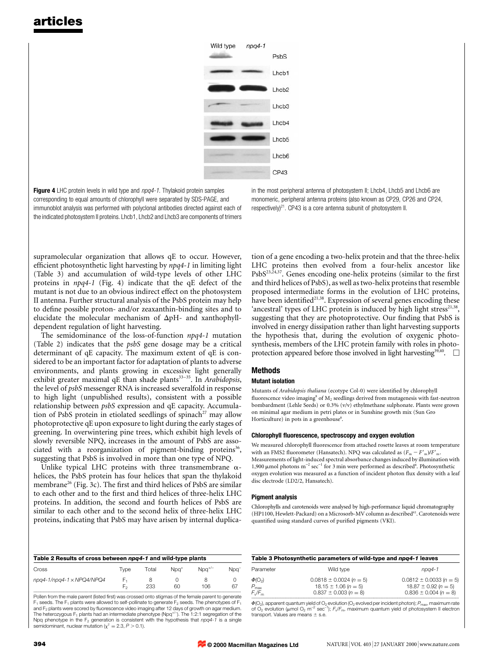

Figure 4 LHC protein levels in wild type and npq4-1. Thylakoid protein samples corresponding to equal amounts of chlorophyll were separated by SDS-PAGE, and immunoblot analysis was performed with polyclonal antibodies directed against each of the indicated photosystem II proteins. Lhcb1, Lhcb2 and Lhcb3 are components of trimers

in the most peripheral antenna of photosystem II; Lhcb4, Lhcb5 and Lhcb6 are monomeric, peripheral antenna proteins (also known as CP29, CP26 and CP24, respectively)<sup>21</sup>. CP43 is a core antenna subunit of photosystem II.

supramolecular organization that allows qE to occur. However, efficient photosynthetic light harvesting by npq4-1 in limiting light (Table 3) and accumulation of wild-type levels of other LHC proteins in npq4-1 (Fig. 4) indicate that the qE defect of the mutant is not due to an obvious indirect effect on the photosystem II antenna. Further structural analysis of the PsbS protein may help to define possible proton- and/or zeaxanthin-binding sites and to elucidate the molecular mechanism of  $\Delta pH$ - and xanthophylldependent regulation of light harvesting.

The semidominance of the loss-of-function npq4-1 mutation (Table 2) indicates that the psbS gene dosage may be a critical determinant of qE capacity. The maximum extent of qE is considered to be an important factor for adaptation of plants to adverse environments, and plants growing in excessive light generally exhibit greater maximal qE than shade plants<sup>33-35</sup>. In Arabidopsis, the level of psbS messenger RNA is increased severalfold in response to high light (unpublished results), consistent with a possible relationship between psbS expression and qE capacity. Accumulation of PsbS protein in etiolated seedlings of spinach<sup>27</sup> may allow photoprotective qE upon exposure to light during the early stages of greening. In overwintering pine trees, which exhibit high levels of slowly reversible NPQ, increases in the amount of PsbS are associated with a reorganization of pigment-binding proteins<sup>36</sup> suggesting that PsbS is involved in more than one type of NPQ.

Unlike typical LHC proteins with three transmembrane  $\alpha$ helices, the PsbS protein has four helices that span the thylakoid membrane<sup>26</sup> (Fig. 3c). The first and third helices of PsbS are similar to each other and to the first and third helices of three-helix LHC proteins. In addition, the second and fourth helices of PsbS are similar to each other and to the second helix of three-helix LHC proteins, indicating that PsbS may have arisen by internal duplication of a gene encoding a two-helix protein and that the three-helix LHC proteins then evolved from a four-helix ancestor like  $PsbS^{23,24,37}$ . Genes encoding one-helix proteins (similar to the first and third helices of PsbS), as well as two-helix proteins that resemble proposed intermediate forms in the evolution of LHC proteins, have been identified<sup>21,38</sup>. Expression of several genes encoding these 'ancestral' types of LHC protein is induced by high light stress $2^{1,38}$ , suggesting that they are photoprotective. Our finding that PsbS is involved in energy dissipation rather than light harvesting supports the hypothesis that, during the evolution of oxygenic photosynthesis, members of the LHC protein family with roles in photoprotection appeared before those involved in light harvesting<sup>39,40</sup>.  $\Box$ 

## Methods

### Mutant isolation

Mutants of Arabidopsis thaliana (ecotype Col-0) were identified by chlorophyll fluorescence video imaging<sup>8</sup> of  $M_2$  seedlings derived from mutagenesis with fast-neutron bombardment (Lehle Seeds) or 0.3% (v/v) ethylmethane sulphonate. Plants were grown on minimal agar medium in petri plates or in Sunshine growth mix (Sun Gro Horticulture) in pots in a greenhouse<sup>8</sup>.

#### Chlorophyll fluorescence, spectroscopy and oxygen evolution

We measured chlorophyll fluorescence from attached rosette leaves at room temperature with an FMS2 fluorometer (Hansatech). NPQ was calculated as  $(F_m - F'_m)/F'_m$ . Measurements of light-induced spectral absorbance changes induced by illumination with 1,900  $\mu$ mol photons m<sup>-2</sup> sec<sup>-1</sup> for 3 min were performed as described<sup>8</sup>. Photosynthetic oxygen evolution was measured as a function of incident photon flux density with a leaf disc electrode (LD2/2, Hansatech).

#### Pigment analysis

Chlorophylls and carotenoids were analysed by high-performance liquid chromatography (HP1100, Hewlett-Packard) on a Microsorb-MV column as described41. Carotenoids were quantified using standard curves of purified pigments (VKI).

| Table 2 Results of cross between npg4-1 and wild-type plants |       |       |              |                |                  |  |  |  |
|--------------------------------------------------------------|-------|-------|--------------|----------------|------------------|--|--|--|
| Cross                                                        | I vpe | Total | $Nn\alpha^*$ | $Nn^{\gamma-}$ | Npa <sup>–</sup> |  |  |  |
| $npq4-1/npq4-1 \times NPQ4/NPO4$                             | F,    | 233   | ഩ            | 106            | -67              |  |  |  |
|                                                              |       |       |              |                |                  |  |  |  |

Pollen from the male parent (listed first) was crossed onto stigmas of the female parent to generate  $F_1$  seeds. The  $F_1$  plants were allowed to self-pollinate to generate  $F_2$  seeds. The phenotypes of  $F_1$ and  $F_2$  plants were scored by fluorescence video imaging after 12 days of growth on agar medium. The heterozygous F<sub>1</sub> plants had an intermediate phenotype (Npq<sup>+/-</sup>). The 1:2:1 segregation of the<br>Npq phenotype in the F<sub>2</sub> generation is consistent with the hypothesis that *npq4-1* is a single semidominant, nuclear mutation ( $x^2 = 2.3$ ,  $P > 0.1$ ).

| Table 3 Photosynthetic parameters of wild-type and npg4-1 leaves |                                                                                      |                                                                                      |  |  |  |  |
|------------------------------------------------------------------|--------------------------------------------------------------------------------------|--------------------------------------------------------------------------------------|--|--|--|--|
| Parameter                                                        | Wild type                                                                            | $npq4-1$                                                                             |  |  |  |  |
| $\Phi(O_2)$<br>$P_{\text{max}}$<br>F./F                          | $0.0818 \pm 0.0024 (n = 5)$<br>$18.15 \pm 1.06 (n = 5)$<br>$0.837 \pm 0.003 (n = 8)$ | $0.0812 \pm 0.0033 (n = 5)$<br>$18.87 \pm 0.92 (n = 5)$<br>$0.836 \pm 0.004 (n = 8)$ |  |  |  |  |

 $\Phi(O_2)$ , apparent quantum yield of  $O_2$  evolution (O<sub>2</sub> evolved per incident photon); P<sub>max</sub>, maximum rate of O<sub>2</sub> evolution (µmol O<sub>2</sub> m<sup>-2</sup> sec<sup>-1</sup>);  $F\sqrt{F_m}$ , maximum quantum yield of photosystem II electron transport. Values are means  $\pm$  s.e.